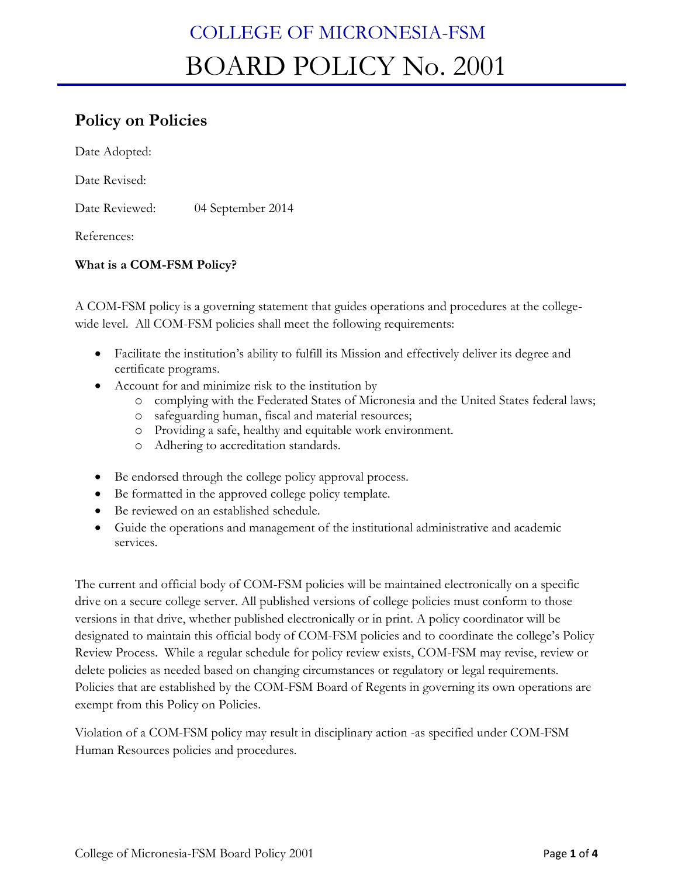# **Policy on Policies**

Date Adopted:

Date Revised:

Date Reviewed: 04 September 2014

References:

## **What is a COM-FSM Policy?**

A COM-FSM policy is a governing statement that guides operations and procedures at the collegewide level. All COM-FSM policies shall meet the following requirements:

- Facilitate the institution's ability to fulfill its Mission and effectively deliver its degree and certificate programs.
- Account for and minimize risk to the institution by
	- o complying with the Federated States of Micronesia and the United States federal laws;
	- o safeguarding human, fiscal and material resources;
	- o Providing a safe, healthy and equitable work environment.
	- o Adhering to accreditation standards.
- Be endorsed through the college policy approval process.
- Be formatted in the approved college policy template.
- Be reviewed on an established schedule.
- Guide the operations and management of the institutional administrative and academic services.

The current and official body of COM-FSM policies will be maintained electronically on a specific drive on a secure college server. All published versions of college policies must conform to those versions in that drive, whether published electronically or in print. A policy coordinator will be designated to maintain this official body of COM-FSM policies and to coordinate the college's Policy Review Process. While a regular schedule for policy review exists, COM-FSM may revise, review or delete policies as needed based on changing circumstances or regulatory or legal requirements. Policies that are established by the COM-FSM Board of Regents in governing its own operations are exempt from this Policy on Policies.

Violation of a COM-FSM policy may result in disciplinary action -as specified under COM-FSM Human Resources policies and procedures.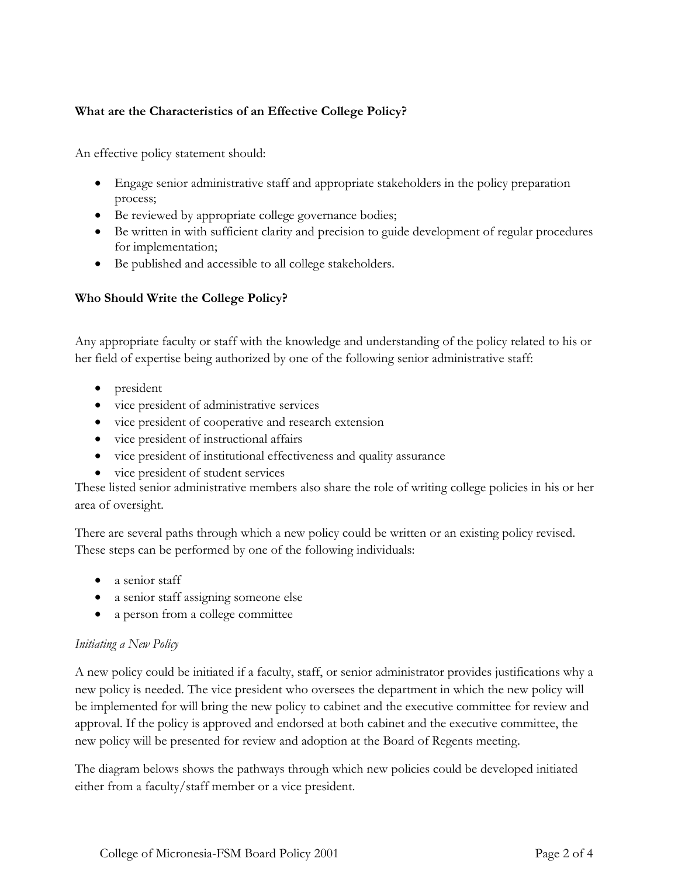## **What are the Characteristics of an Effective College Policy?**

An effective policy statement should:

- Engage senior administrative staff and appropriate stakeholders in the policy preparation process;
- Be reviewed by appropriate college governance bodies;
- Be written in with sufficient clarity and precision to guide development of regular procedures for implementation;
- Be published and accessible to all college stakeholders.

## **Who Should Write the College Policy?**

Any appropriate faculty or staff with the knowledge and understanding of the policy related to his or her field of expertise being authorized by one of the following senior administrative staff:

- president
- vice president of administrative services
- vice president of cooperative and research extension
- vice president of instructional affairs
- vice president of institutional effectiveness and quality assurance
- vice president of student services

These listed senior administrative members also share the role of writing college policies in his or her area of oversight.

There are several paths through which a new policy could be written or an existing policy revised. These steps can be performed by one of the following individuals:

- a senior staff
- a senior staff assigning someone else
- a person from a college committee

## *Initiating a New Policy*

A new policy could be initiated if a faculty, staff, or senior administrator provides justifications why a new policy is needed. The vice president who oversees the department in which the new policy will be implemented for will bring the new policy to cabinet and the executive committee for review and approval. If the policy is approved and endorsed at both cabinet and the executive committee, the new policy will be presented for review and adoption at the Board of Regents meeting.

The diagram belows shows the pathways through which new policies could be developed initiated either from a faculty/staff member or a vice president.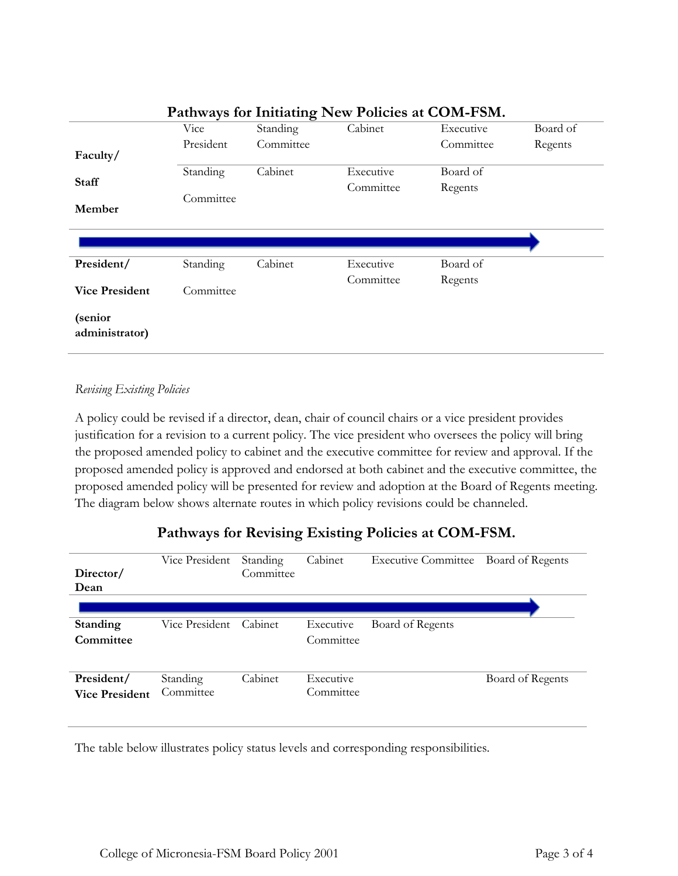| I attiways for findating from Foncies at COM-Form. |           |           |           |           |          |  |  |
|----------------------------------------------------|-----------|-----------|-----------|-----------|----------|--|--|
|                                                    | Vice      | Standing  | Cabinet   | Executive | Board of |  |  |
|                                                    | President | Committee |           | Committee | Regents  |  |  |
| Faculty/                                           |           |           |           |           |          |  |  |
|                                                    | Standing  | Cabinet   | Executive | Board of  |          |  |  |
| <b>Staff</b>                                       |           |           | Committee | Regents   |          |  |  |
| Member                                             | Committee |           |           |           |          |  |  |
|                                                    |           |           |           |           |          |  |  |
|                                                    |           |           |           |           |          |  |  |
|                                                    |           |           |           |           |          |  |  |
| President/                                         | Standing  | Cabinet   | Executive | Board of  |          |  |  |
|                                                    |           |           | Committee | Regents   |          |  |  |
| <b>Vice President</b>                              | Committee |           |           |           |          |  |  |
|                                                    |           |           |           |           |          |  |  |
| (senior                                            |           |           |           |           |          |  |  |
| administrator)                                     |           |           |           |           |          |  |  |
|                                                    |           |           |           |           |          |  |  |

## **Pathways for Initiating New Policies at COM-FSM.**

#### *Revising Existing Policies*

A policy could be revised if a director, dean, chair of council chairs or a vice president provides justification for a revision to a current policy. The vice president who oversees the policy will bring the proposed amended policy to cabinet and the executive committee for review and approval. If the proposed amended policy is approved and endorsed at both cabinet and the executive committee, the proposed amended policy will be presented for review and adoption at the Board of Regents meeting. The diagram below shows alternate routes in which policy revisions could be channeled.

## **Pathways for Revising Existing Policies at COM-FSM.**

| Director/<br>Dean                   | Vice President        | Standing<br>Committee | Cabinet                | <b>Executive Committee</b> | Board of Regents |
|-------------------------------------|-----------------------|-----------------------|------------------------|----------------------------|------------------|
|                                     |                       |                       |                        |                            |                  |
| Standing                            | Vice President        | Cabinet               | Executive              | Board of Regents           |                  |
| Committee                           |                       |                       | Committee              |                            |                  |
| President/<br><b>Vice President</b> | Standing<br>Committee | Cabinet               | Executive<br>Committee |                            | Board of Regents |

The table below illustrates policy status levels and corresponding responsibilities.